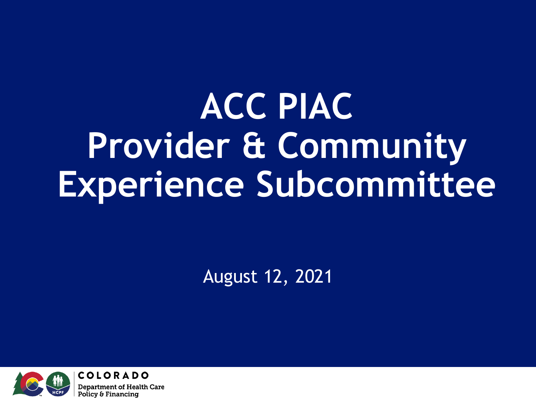## **ACC PIAC Provider & Community Experience Subcommittee**

August 12, 2021

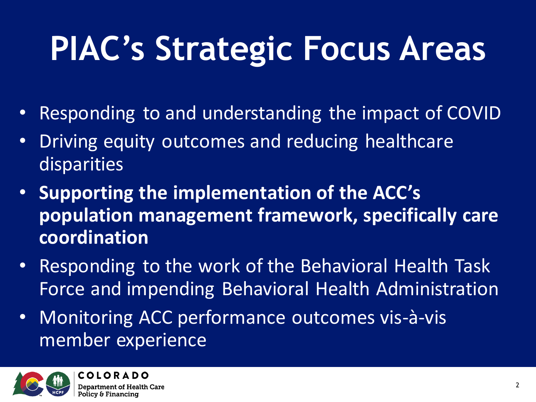## **PIAC's Strategic Focus Areas**

- Responding to and understanding the impact of COVID
- Driving equity outcomes and reducing healthcare disparities
- **Supporting the implementation of the ACC's population management framework, specifically care coordination**
- Responding to the work of the Behavioral Health Task Force and impending Behavioral Health Administration
- Monitoring ACC performance outcomes vis-à-vis member experience

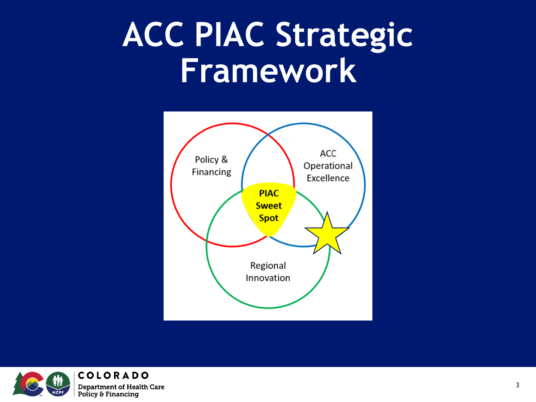#### **ACC PIAC Strategic Framework**



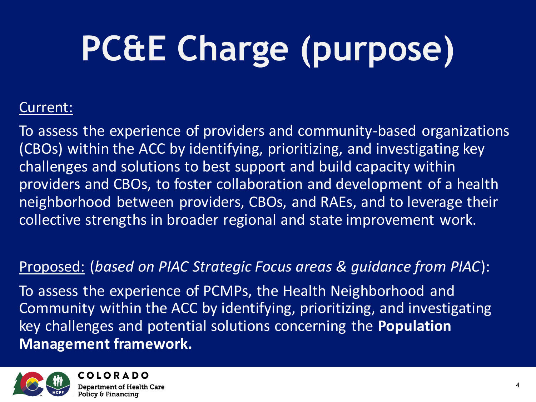# **PC&E Charge (purpose)**

#### Current:

To assess the experience of providers and community-based organizations (CBOs) within the ACC by identifying, prioritizing, and investigating key challenges and solutions to best support and build capacity within providers and CBOs, to foster collaboration and development of a health neighborhood between providers, CBOs, and RAEs, and to leverage their collective strengths in broader regional and state improvement work.

#### Proposed: (*based on PIAC Strategic Focus areas & guidance from PIAC*):

To assess the experience of PCMPs, the Health Neighborhood and Community within the ACC by identifying, prioritizing, and investigating key challenges and potential solutions concerning the **Population Management framework.** 

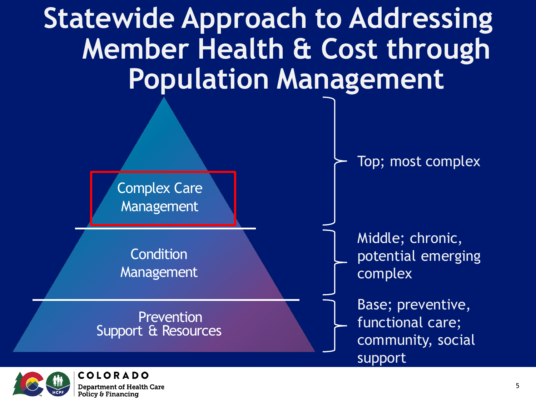



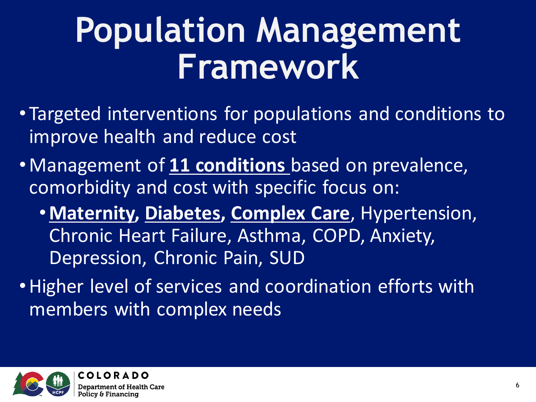#### **Population Management Framework**

- Targeted interventions for populations and conditions to improve health and reduce cost
- •Management of **11 conditions** based on prevalence, comorbidity and cost with specific focus on:
	- •**Maternity, Diabetes, Complex Care**, Hypertension, Chronic Heart Failure, Asthma, COPD, Anxiety, Depression, Chronic Pain, SUD
- •Higher level of services and coordination efforts with members with complex needs

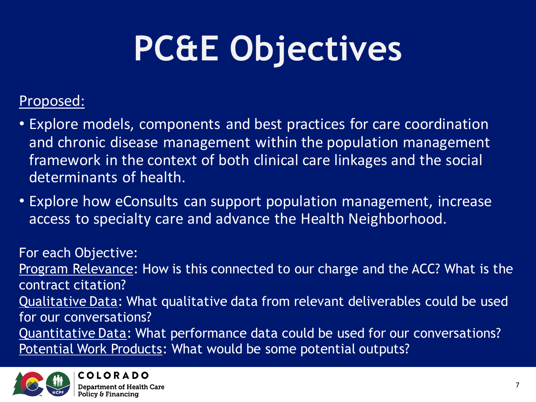# **PC&E Objectives**

#### Proposed:

- Explore models, components and best practices for care coordination and chronic disease management within the population management framework in the context of both clinical care linkages and the social determinants of health.
- Explore how eConsults can support population management, increase access to specialty care and advance the Health Neighborhood.

For each Objective: Program Relevance: How is this connected to our charge and the ACC? What is the contract citation? Qualitative Data: What qualitative data from relevant deliverables could be used for our conversations? Quantitative Data: What performance data could be used for our conversations? Potential Work Products: What would be some potential outputs?

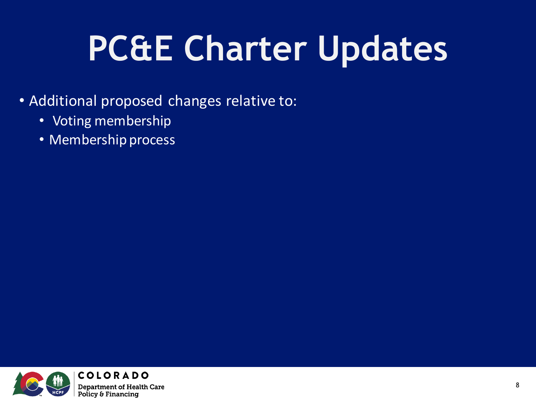## **PC&E Charter Updates**

- Additional proposed changes relative to:
	- Voting membership
	- Membership process

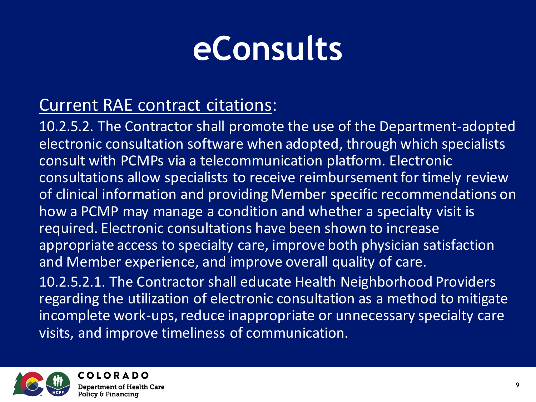#### **eConsults**

#### Current RAE contract citations:

10.2.5.2. The Contractor shall promote the use of the Department-adopted electronic consultation software when adopted, through which specialists consult with PCMPs via a telecommunication platform. Electronic consultations allow specialists to receive reimbursement for timely review of clinical information and providing Member specific recommendations on how a PCMP may manage a condition and whether a specialty visit is required. Electronic consultations have been shown to increase appropriate access to specialty care, improve both physician satisfaction and Member experience, and improve overall quality of care. 10.2.5.2.1. The Contractor shall educate Health Neighborhood Providers

regarding the utilization of electronic consultation as a method to mitigate incomplete work-ups, reduce inappropriate or unnecessary specialty care visits, and improve timeliness of communication.

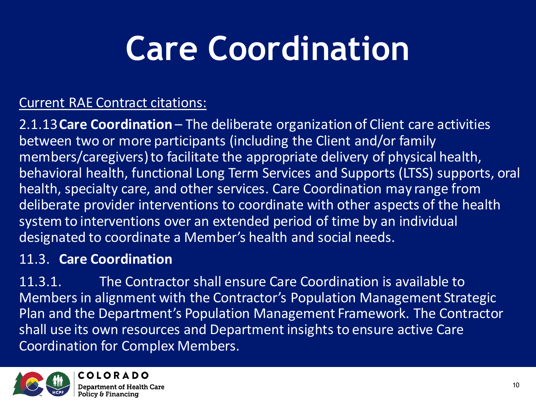#### Current RAE Contract citations:

2.1.13**Care Coordination** – The deliberate organization of Client care activities between two or more participants (including the Client and/or family members/caregivers) to facilitate the appropriate delivery of physical health, behavioral health, functional Long Term Services and Supports (LTSS) supports, oral health, specialty care, and other services. Care Coordination may range from deliberate provider interventions to coordinate with other aspects of the health system to interventions over an extended period of time by an individual designated to coordinate a Member's health and social needs.

#### 11.3. **Care Coordination**

11.3.1. The Contractor shall ensure Care Coordination is available to Members in alignment with the Contractor's Population Management Strategic Plan and the Department's Population Management Framework. The Contractor shall use its own resources and Department insights to ensure active Care Coordination for Complex Members.

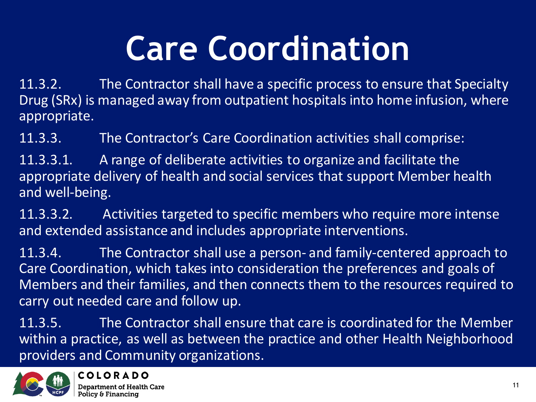11.3.2. The Contractor shall have a specific process to ensure that Specialty Drug (SRx) is managed away from outpatient hospitals into home infusion, where appropriate.

11.3.3. The Contractor's Care Coordination activities shall comprise:

11.3.3.1. A range of deliberate activities to organize and facilitate the appropriate delivery of health and social services that support Member health and well-being.

11.3.3.2. Activities targeted to specific members who require more intense and extended assistance and includes appropriate interventions.

11.3.4. The Contractor shall use a person- and family-centered approach to Care Coordination, which takes into consideration the preferences and goals of Members and their families, and then connects them to the resources required to carry out needed care and follow up.

11.3.5. The Contractor shall ensure that care is coordinated for the Member within a practice, as well as between the practice and other Health Neighborhood providers and Community organizations.

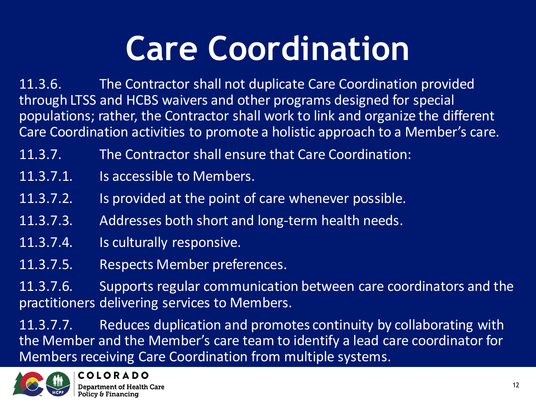11.3.6. The Contractor shall not duplicate Care Coordination provided through LTSS and HCBS waivers and other programs designed for special populations; rather, the Contractor shall work to link and organize the different Care Coordination activities to promote a holistic approach to a Member's care.

- 11.3.7. The Contractor shall ensure that Care Coordination:
- 11.3.7.1. Is accessible to Members.
- 11.3.7.2. Is provided at the point of care whenever possible.
- 11.3.7.3. Addresses both short and long-term health needs.
- 11.3.7.4. Is culturally responsive.
- 11.3.7.5. Respects Member preferences.

11.3.7.6. Supports regular communication between care coordinators and the practitioners delivering services to Members.

11.3.7.7. Reduces duplication and promotes continuity by collaborating with the Member and the Member's care team to identify a lead care coordinator for Members receiving Care Coordination from multiple systems.

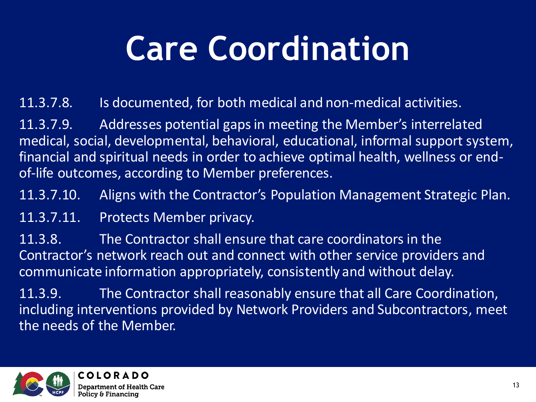11.3.7.8. Is documented, for both medical and non-medical activities.

11.3.7.9. Addresses potential gaps in meeting the Member's interrelated medical, social, developmental, behavioral, educational, informal support system, financial and spiritual needs in order to achieve optimal health, wellness or endof-life outcomes, according to Member preferences.

11.3.7.10. Aligns with the Contractor's Population Management Strategic Plan.

11.3.7.11. Protects Member privacy.

11.3.8. The Contractor shall ensure that care coordinators in the Contractor's network reach out and connect with other service providers and communicate information appropriately, consistently and without delay.

11.3.9. The Contractor shall reasonably ensure that all Care Coordination, including interventions provided by Network Providers and Subcontractors, meet the needs of the Member.

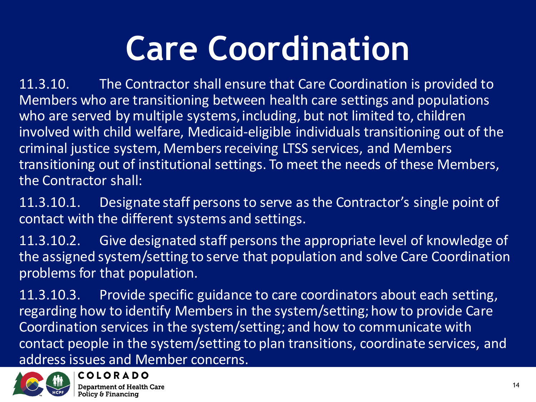11.3.10. The Contractor shall ensure that Care Coordination is provided to Members who are transitioning between health care settings and populations who are served by multiple systems, including, but not limited to, children involved with child welfare, Medicaid-eligible individuals transitioning out of the criminal justice system, Members receiving LTSS services, and Members transitioning out of institutional settings. To meet the needs of these Members, the Contractor shall:

11.3.10.1. Designate staff persons to serve as the Contractor's single point of contact with the different systems and settings.

11.3.10.2. Give designated staff persons the appropriate level of knowledge of the assigned system/setting to serve that population and solve Care Coordination problems for that population.

11.3.10.3. Provide specific guidance to care coordinators about each setting, regarding how to identify Members in the system/setting; how to provide Care Coordination services in the system/setting; and how to communicate with contact people in the system/setting to plan transitions, coordinate services, and address issues and Member concerns.

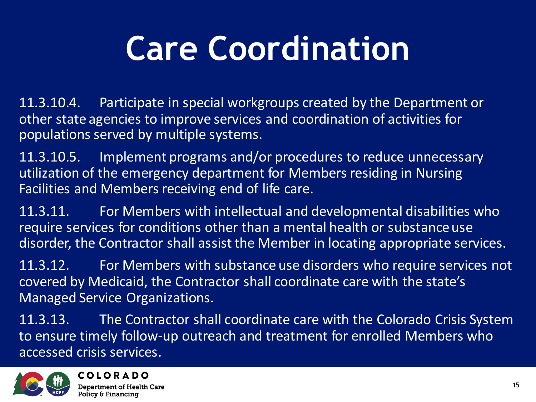11.3.10.4. Participate in special workgroups created by the Department or other state agencies to improve services and coordination of activities for populations served by multiple systems.

11.3.10.5. Implement programs and/or procedures to reduce unnecessary utilization of the emergency department for Members residing in Nursing Facilities and Members receiving end of life care.

11.3.11. For Members with intellectual and developmental disabilities who require services for conditions other than a mental health or substance use disorder, the Contractor shall assist the Member in locating appropriate services.

11.3.12. For Members with substance use disorders who require services not covered by Medicaid, the Contractor shall coordinate care with the state's Managed Service Organizations.

11.3.13. The Contractor shall coordinate care with the Colorado Crisis System to ensure timely follow-up outreach and treatment for enrolled Members who accessed crisis services.

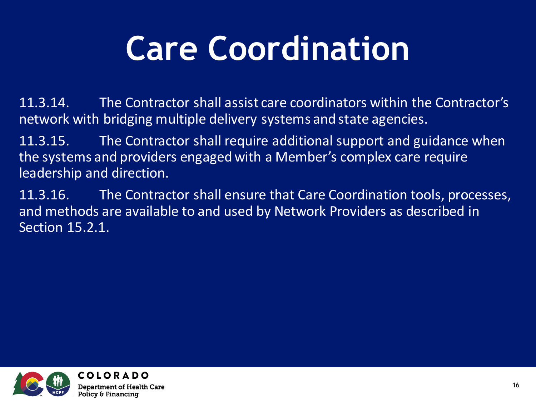11.3.14. The Contractor shall assist care coordinators within the Contractor's network with bridging multiple delivery systems and state agencies.

11.3.15. The Contractor shall require additional support and guidance when the systems and providers engaged with a Member's complex care require leadership and direction.

11.3.16. The Contractor shall ensure that Care Coordination tools, processes, and methods are available to and used by Network Providers as described in Section 15.2.1.

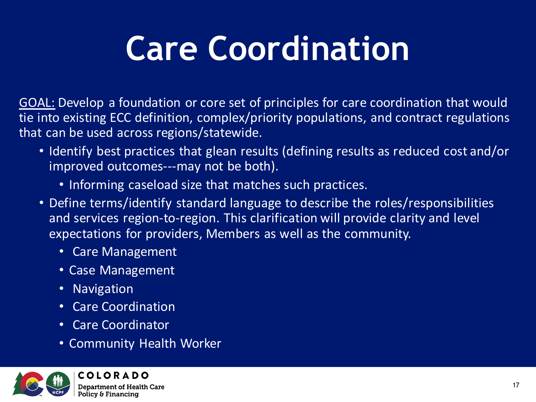GOAL: Develop a foundation or core set of principles for care coordination that would tie into existing ECC definition, complex/priority populations, and contract regulations that can be used across regions/statewide.

- Identify best practices that glean results (defining results as reduced cost and/or improved outcomes---may not be both).
	- Informing caseload size that matches such practices.
- Define terms/identify standard language to describe the roles/responsibilities and services region-to-region. This clarification will provide clarity and level expectations for providers, Members as well as the community.
	- Care Management
	- Case Management
	- Navigation
	- Care Coordination
	- Care Coordinator
	- Community Health Worker